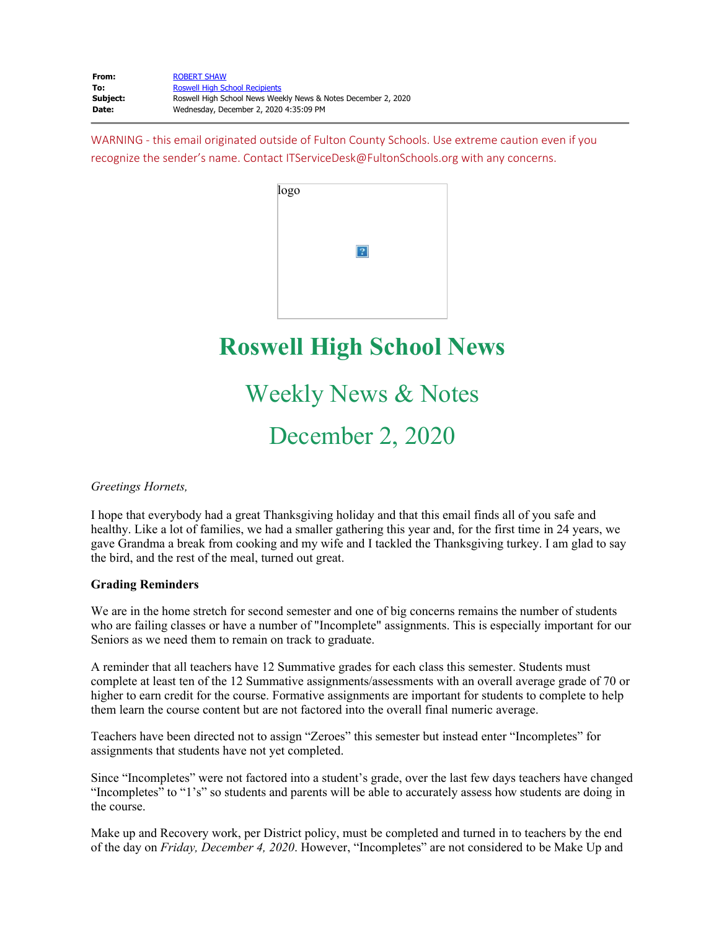WARNING - this email originated outside of Fulton County Schools. Use extreme caution even if you recognize the sender's name. Contact ITServiceDesk@FultonSchools.org with any concerns.

| logo |                         |  |
|------|-------------------------|--|
|      | $\overline{\mathbf{2}}$ |  |
|      |                         |  |

# **Roswell High School News**

# Weekly News & Notes

December 2, 2020

*Greetings Hornets,* 

I hope that everybody had a great Thanksgiving holiday and that this email finds all of you safe and healthy. Like a lot of families, we had a smaller gathering this year and, for the first time in 24 years, we gave Grandma a break from cooking and my wife and I tackled the Thanksgiving turkey. I am glad to say the bird, and the rest of the meal, turned out great.

# **Grading Reminders**

We are in the home stretch for second semester and one of big concerns remains the number of students who are failing classes or have a number of "Incomplete" assignments. This is especially important for our Seniors as we need them to remain on track to graduate.

A reminder that all teachers have 12 Summative grades for each class this semester. Students must complete at least ten of the 12 Summative assignments/assessments with an overall average grade of 70 or higher to earn credit for the course. Formative assignments are important for students to complete to help them learn the course content but are not factored into the overall final numeric average.

Teachers have been directed not to assign "Zeroes" this semester but instead enter "Incompletes" for assignments that students have not yet completed.

Since "Incompletes" were not factored into a student's grade, over the last few days teachers have changed "Incompletes" to "1's" so students and parents will be able to accurately assess how students are doing in the course.

Make up and Recovery work, per District policy, must be completed and turned in to teachers by the end of the day on *Friday, December 4, 2020*. However, "Incompletes" are not considered to be Make Up and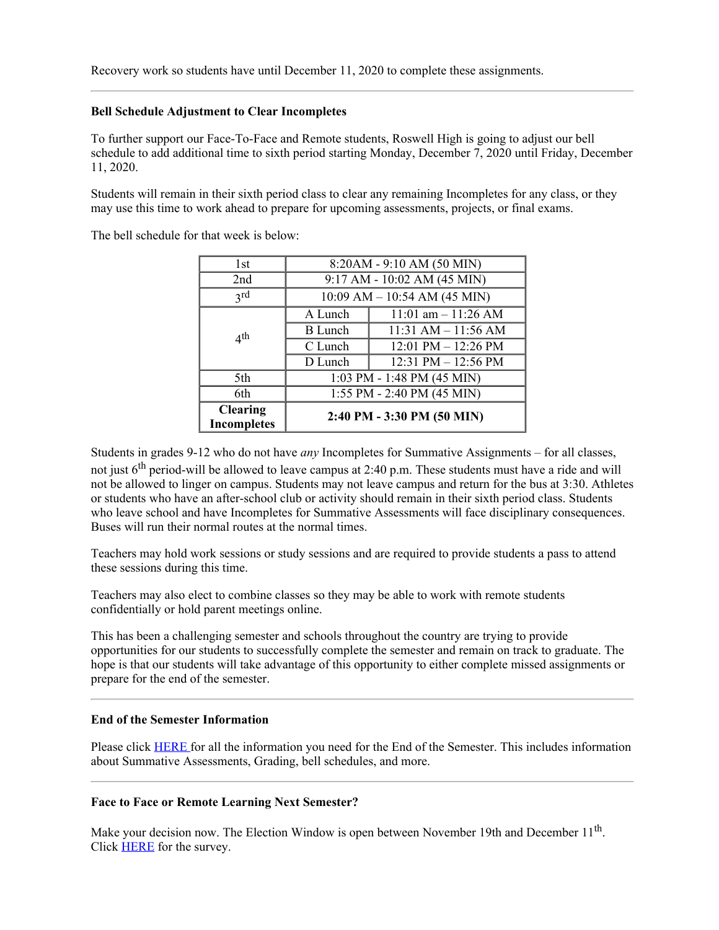## **Bell Schedule Adjustment to Clear Incompletes**

To further support our Face-To-Face and Remote students, Roswell High is going to adjust our bell schedule to add additional time to sixth period starting Monday, December 7, 2020 until Friday, December 11, 2020.

Students will remain in their sixth period class to clear any remaining Incompletes for any class, or they may use this time to work ahead to prepare for upcoming assessments, projects, or final exams.

The bell schedule for that week is below:

| 1st                                   |                                  | 8:20AM - 9:10 AM (50 MIN)   |  |
|---------------------------------------|----------------------------------|-----------------------------|--|
| 2nd                                   |                                  | 9:17 AM - 10:02 AM (45 MIN) |  |
| 2rd                                   | $10:09$ AM $- 10:54$ AM (45 MIN) |                             |  |
|                                       | A Lunch                          | 11:01 am $-$ 11:26 AM       |  |
| 4 <sup>th</sup>                       | B Lunch                          | $11:31$ AM $- 11:56$ AM     |  |
|                                       | C Lunch                          | 12:01 PM $-$ 12:26 PM       |  |
|                                       | D Lunch                          | 12:31 PM $-$ 12:56 PM       |  |
| 5th                                   | 1:03 PM - 1:48 PM (45 MIN)       |                             |  |
| 6th                                   | 1:55 PM - 2:40 PM (45 MIN)       |                             |  |
| <b>Clearing</b><br><b>Incompletes</b> |                                  | 2:40 PM - 3:30 PM (50 MIN)  |  |

Students in grades 9-12 who do not have *any* Incompletes for Summative Assignments – for all classes, not just  $6<sup>th</sup>$  period-will be allowed to leave campus at 2:40 p.m. These students must have a ride and will not be allowed to linger on campus. Students may not leave campus and return for the bus at 3:30. Athletes or students who have an after-school club or activity should remain in their sixth period class. Students who leave school and have Incompletes for Summative Assessments will face disciplinary consequences. Buses will run their normal routes at the normal times.

Teachers may hold work sessions or study sessions and are required to provide students a pass to attend these sessions during this time.

Teachers may also elect to combine classes so they may be able to work with remote students confidentially or hold parent meetings online.

This has been a challenging semester and schools throughout the country are trying to provide opportunities for our students to successfully complete the semester and remain on track to graduate. The hope is that our students will take advantage of this opportunity to either complete missed assignments or prepare for the end of the semester.

### **End of the Semester Information**

Please click **[HERE](https://www.fultonschools.org/cms/lib/GA50000114/Centricity/ModuleInstance/50391/Community20202021.pdf)** for all the information you need for the End of the Semester. This includes information about Summative Assessments, Grading, bell schedules, and more.

### **Face to Face or Remote Learning Next Semester?**

Make your decision now. The Election Window is open between November 19th and December 11<sup>th</sup>. Click **[HERE](https://nam11.safelinks.protection.outlook.com/?url=https%3A%2F%2Ffultonschools.az1.qualtrics.com%2Fjfe%2Fform%2FSV_1SlCTwRkD5mz8mp&data=04%7C01%7Cmurphys%40fultonschools.org%7Ceba6b864a8854de25fc808d8970a2234%7C0cdcb19881694b70ba9fda7e3ba700c2%7C1%7C0%7C637425417078257038%7CUnknown%7CTWFpbGZsb3d8eyJWIjoiMC4wLjAwMDAiLCJQIjoiV2luMzIiLCJBTiI6Ik1haWwiLCJXVCI6Mn0%3D%7C1000&sdata=%2Bn5qXBkOPxze276JSIUt1M9sJU%2BOsCiM4lT2NSZaq%2FE%3D&reserved=0)** for the survey.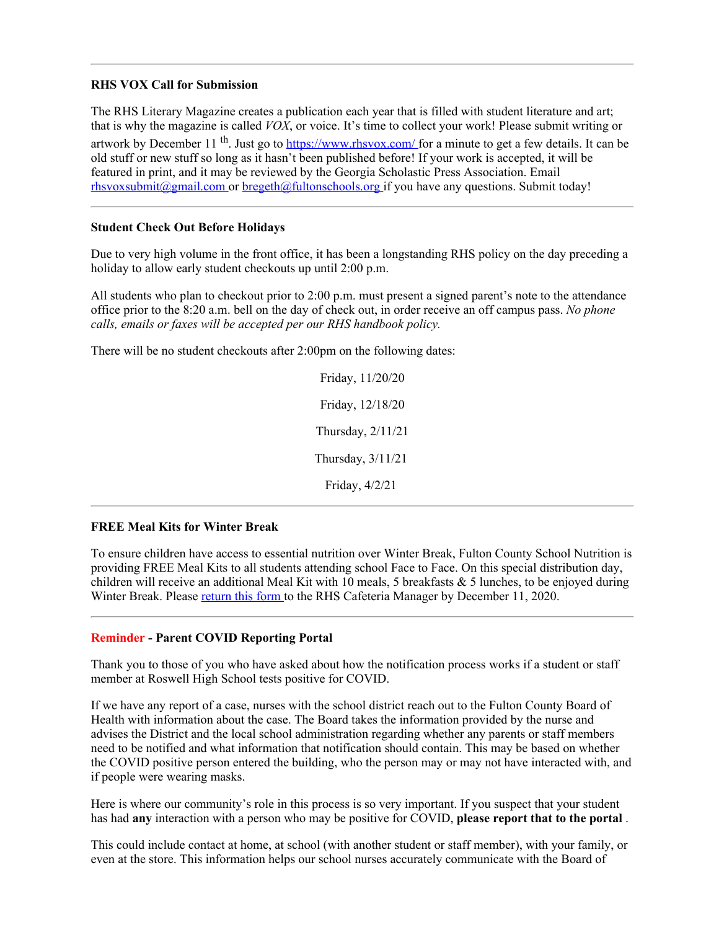## **RHS VOX Call for Submission**

The RHS Literary Magazine creates a publication each year that is filled with student literature and art; that is why the magazine is called *VOX*, or voice. It's time to collect your work! Please submit writing or artwork by December 11<sup>th</sup>. Just go to [https://www.rhsvox.com/](https://nam11.safelinks.protection.outlook.com/?url=https%3A%2F%2Fwww.rhsvox.com%2F&data=04%7C01%7Cmurphys%40fultonschools.org%7Ceba6b864a8854de25fc808d8970a2234%7C0cdcb19881694b70ba9fda7e3ba700c2%7C1%7C0%7C637425417078267032%7CUnknown%7CTWFpbGZsb3d8eyJWIjoiMC4wLjAwMDAiLCJQIjoiV2luMzIiLCJBTiI6Ik1haWwiLCJXVCI6Mn0%3D%7C1000&sdata=ddN6pUsPvAxeLfV987WFZRTVaUTMtxNMcfE6sofrv8s%3D&reserved=0) for a minute to get a few details. It can be old stuff or new stuff so long as it hasn't been published before! If your work is accepted, it will be featured in print, and it may be reviewed by the Georgia Scholastic Press Association. Email [rhsvoxsubmit@gmail.com](mailto:rhsvoxsubmit@gmail.com) or [bregeth@fultonschools.org](mailto:bregeth@fultonschools.org) if you have any questions. Submit today!

## **Student Check Out Before Holidays**

Due to very high volume in the front office, it has been a longstanding RHS policy on the day preceding a holiday to allow early student checkouts up until 2:00 p.m.

All students who plan to checkout prior to 2:00 p.m. must present a signed parent's note to the attendance office prior to the 8:20 a.m. bell on the day of check out, in order receive an off campus pass. *No phone calls, emails or faxes will be accepted per our RHS handbook policy.*

There will be no student checkouts after 2:00pm on the following dates:

Friday, 11/20/20 Friday, 12/18/20 Thursday, 2/11/21 Thursday, 3/11/21 Friday, 4/2/21

### **FREE Meal Kits for Winter Break**

To ensure children have access to essential nutrition over Winter Break, Fulton County School Nutrition is providing FREE Meal Kits to all students attending school Face to Face. On this special distribution day, children will receive an additional Meal Kit with 10 meals, 5 breakfasts  $\&$  5 lunches, to be enjoyed during Winter Break. Please [return](https://www.fultonschools.org/cms/lib/GA50000114/Centricity/Domain/98/High%20Winter%20Break%20Meal%20Kit%20Request.pdf) this form to the RHS Cafeteria Manager by December 11, 2020.

### **Reminder - Parent COVID Reporting Portal**

Thank you to those of you who have asked about how the notification process works if a student or staff member at Roswell High School tests positive for COVID.

If we have any report of a case, nurses with the school district reach out to the Fulton County Board of Health with information about the case. The Board takes the information provided by the nurse and advises the District and the local school administration regarding whether any parents or staff members need to be notified and what information that notification should contain. This may be based on whether the COVID positive person entered the building, who the person may or may not have interacted with, and if people were wearing masks.

Here is where our community's role in this process is so very important. If you suspect that your student has had **any** interaction with a person who may be positive for COVID, **please report that to the portal** .

This could include contact at home, at school (with another student or staff member), with your family, or even at the store. This information helps our school nurses accurately communicate with the Board of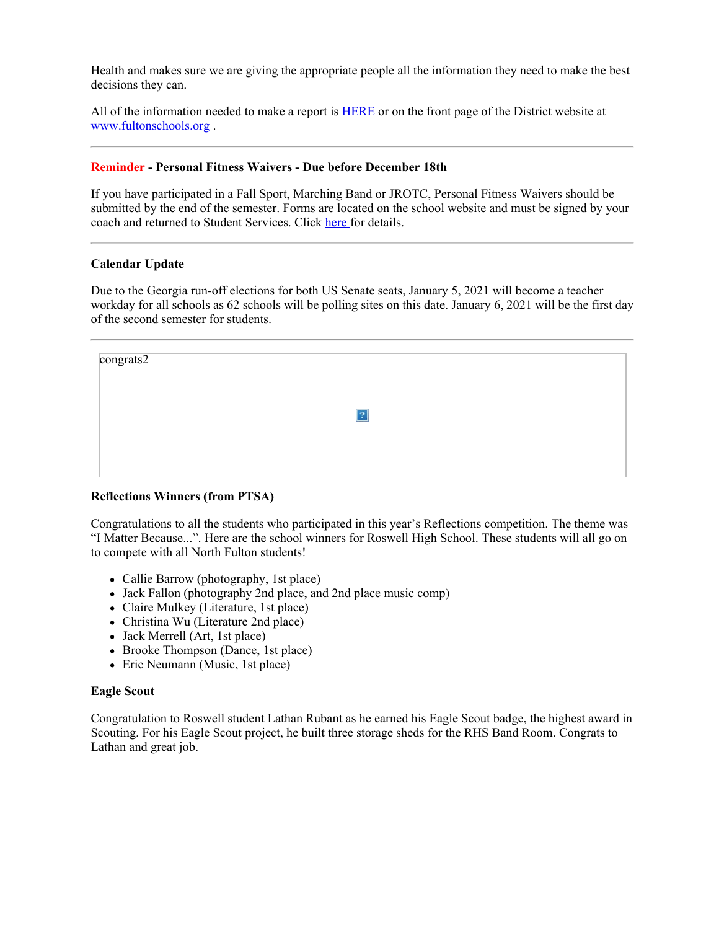Health and makes sure we are giving the appropriate people all the information they need to make the best decisions they can.

All of the information needed to make a report is **[HERE](https://nam11.safelinks.protection.outlook.com/?url=https%3A%2F%2Ffultonschools.az1.qualtrics.com%2Fjfe%2Fform%2FSV_6hWlX46FNk8pNlz&data=04%7C01%7Cmurphys%40fultonschools.org%7Ceba6b864a8854de25fc808d8970a2234%7C0cdcb19881694b70ba9fda7e3ba700c2%7C1%7C0%7C637425417078267032%7CUnknown%7CTWFpbGZsb3d8eyJWIjoiMC4wLjAwMDAiLCJQIjoiV2luMzIiLCJBTiI6Ik1haWwiLCJXVCI6Mn0%3D%7C1000&sdata=uu4LPeXE8UZf%2Fomxwqr1qgOE3g%2BxaHqRCKOaduL%2B%2FTo%3D&reserved=0)** or on the front page of the District website at [www.fultonschools.org](http://www.fultonschools.org/) .

## **Reminder - Personal Fitness Waivers - Due before December 18th**

If you have participated in a Fall Sport, Marching Band or JROTC, Personal Fitness Waivers should be submitted by the end of the semester. Forms are located on the school website and must be signed by your coach and returned to Student Services. Click [here](https://www.fultonschools.org/Page/21720) for details.

#### **Calendar Update**

Due to the Georgia run-off elections for both US Senate seats, January 5, 2021 will become a teacher workday for all schools as 62 schools will be polling sites on this date. January 6, 2021 will be the first day of the second semester for students.

| congrats2 |   |  |
|-----------|---|--|
|           |   |  |
|           | ? |  |
|           |   |  |
|           |   |  |

# **Reflections Winners (from PTSA)**

Congratulations to all the students who participated in this year's Reflections competition. The theme was "I Matter Because...". Here are the school winners for Roswell High School. These students will all go on to compete with all North Fulton students!

- Callie Barrow (photography, 1st place)
- Jack Fallon (photography 2nd place, and 2nd place music comp)
- Claire Mulkey (Literature, 1st place)
- Christina Wu (Literature 2nd place)
- Jack Merrell (Art, 1st place)
- Brooke Thompson (Dance, 1st place)
- Eric Neumann (Music, 1st place)

### **Eagle Scout**

Congratulation to Roswell student Lathan Rubant as he earned his Eagle Scout badge, the highest award in Scouting. For his Eagle Scout project, he built three storage sheds for the RHS Band Room. Congrats to Lathan and great job.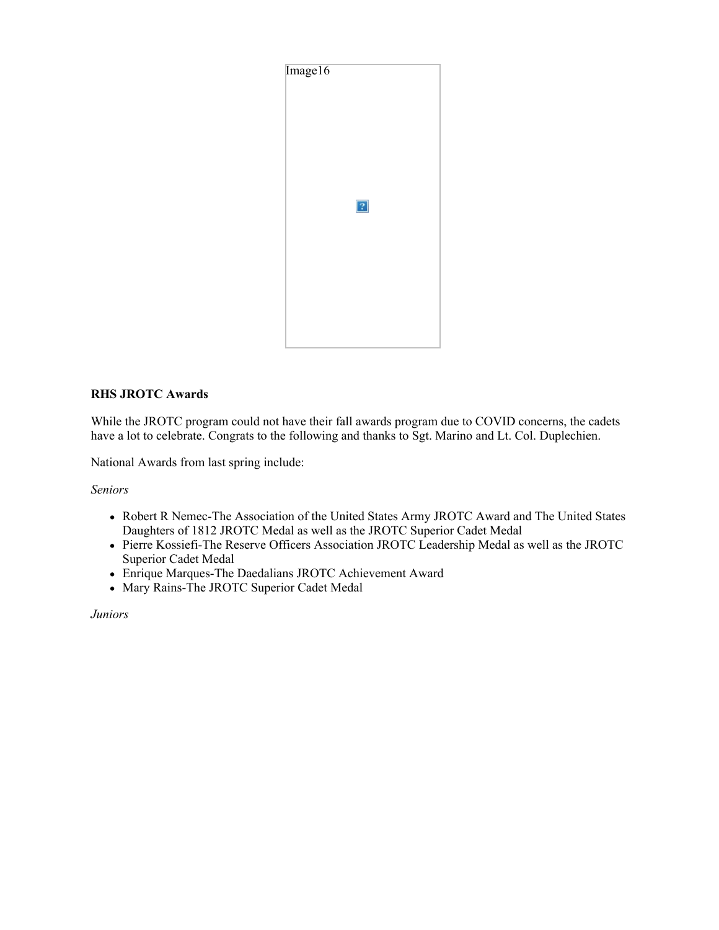

# **RHS JROTC Awards**

While the JROTC program could not have their fall awards program due to COVID concerns, the cadets have a lot to celebrate. Congrats to the following and thanks to Sgt. Marino and Lt. Col. Duplechien.

National Awards from last spring include:

*Seniors*

- Robert R Nemec-The Association of the United States Army JROTC Award and The United States Daughters of 1812 JROTC Medal as well as the JROTC Superior Cadet Medal
- Pierre Kossiefi-The Reserve Officers Association JROTC Leadership Medal as well as the JROTC Superior Cadet Medal
- Enrique Marques-The Daedalians JROTC Achievement Award
- Mary Rains-The JROTC Superior Cadet Medal

*Juniors*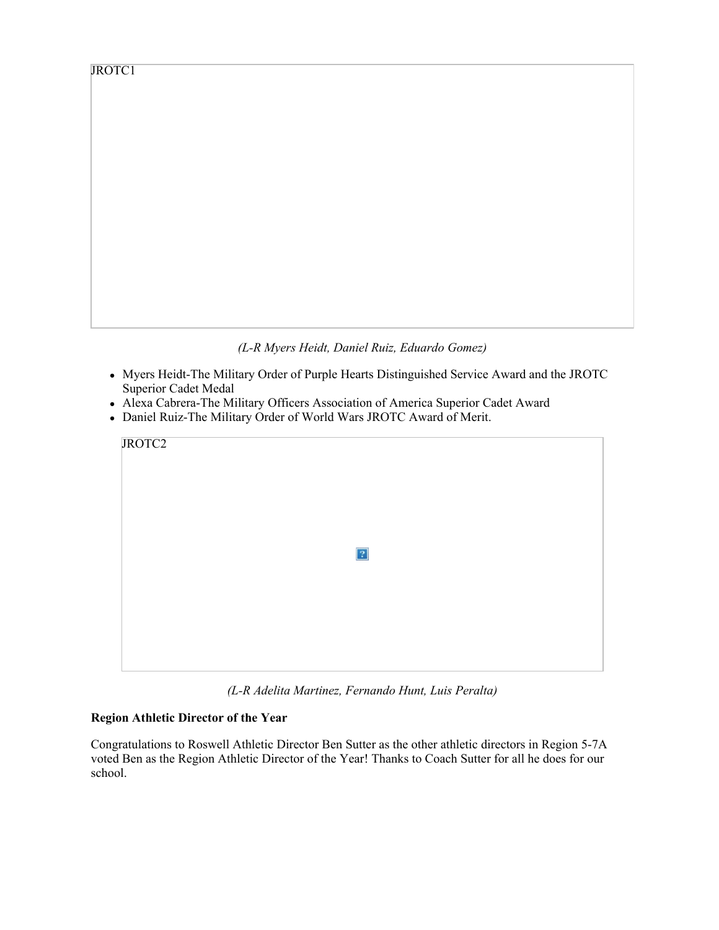*(L-R Myers Heidt, Daniel Ruiz, Eduardo Gomez)*

- Myers Heidt-The Military Order of Purple Hearts Distinguished Service Award and the JROTC Superior Cadet Medal
- Alexa Cabrera-The Military Officers Association of America Superior Cadet Award
- Daniel Ruiz-The Military Order of World Wars JROTC Award of Merit.

| JROTC2 |            |  |
|--------|------------|--|
|        |            |  |
|        | $\sqrt{2}$ |  |
|        |            |  |
|        |            |  |

*(L-R Adelita Martinez, Fernando Hunt, Luis Peralta)*

# **Region Athletic Director of the Year**

Congratulations to Roswell Athletic Director Ben Sutter as the other athletic directors in Region 5-7A voted Ben as the Region Athletic Director of the Year! Thanks to Coach Sutter for all he does for our school.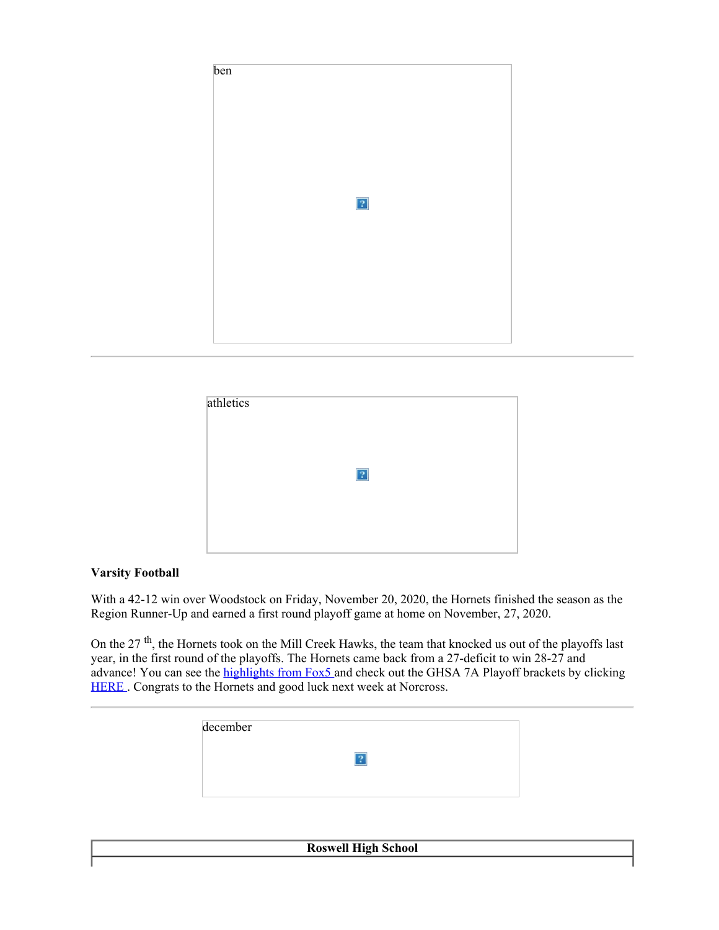

| $\boxed{?}$ |  |
|-------------|--|
|             |  |

# **Varsity Football**

With a 42-12 win over Woodstock on Friday, November 20, 2020, the Hornets finished the season as the Region Runner-Up and earned a first round playoff game at home on November, 27, 2020.

On the 27<sup>th</sup>, the Hornets took on the Mill Creek Hawks, the team that knocked us out of the playoffs last year, in the first round of the playoffs. The Hornets came back from a 27-deficit to win 28-27 and advance! You can see the [highlights](https://nam11.safelinks.protection.outlook.com/?url=https%3A%2F%2Fstatic.fox5atlanta.com%2Fsegment%2Fplayer-frame.html%3Fsite%3Dfts%26station%3Dwaga%26source%3Damp%26props%3DeyJ2aWRlbyI6Ijg3NTM4MSIsImFjY2Vzc0tleSI6Im8zUUxNb3pwdjhVTzI4TGZOSDVKM0w4aWRla05yQVlwIiwidG9rZW4iOiJleUpoYkdjaU9pSklVekkxTmlJc0luUjVjQ0k2SWtwWFZDSjkuZXlKMmFXUWlPaUk0TnpVek9ERWlMQ0pwYzNNaU9pSnZNMUZNVFc5NmNIWTRWVTh5T0V4bVRrZzFTak5NT0dsa1pXdE9ja0ZaY0NJc0ltVjRjQ0k2TVRZd05qWTVNREE1TlN3aWFXRjBJam94TmpBMk5qZzJORGsxZlEuWTdtWGl1LU1RZ2FrRFA0a01aNzdyZzJRMnNsZGZQcHJJbWMtS3JzRmlEcyIsIm1jcCI6IkVQRk9YIiwiZm9ybWF0IjoibTN1OCIsInRpdGxlIjoiTWlsbCBDcmVlayB2cy4gUm9zd2VsbCIsImRlc2NyaXB0aW9uIjoiTWlsbCBDcmVlayB2cy4gUm9zd2VsbCIsInBvc3RlciI6Imh0dHBzOi8vbm12eGR2cmEybXVpdjJhbWVqb3J6a3ZxZ2cuZ2Nkbi5hbnZhdG8ubmV0L2l1cGwvQ0Q0L0E0RC9DRDRBNERFRUIwNzM0NzhDODkzRDUwRTM4RTQ2Mjc4RC5qcGciLCJleHBlY3RQcmVyb2xsIjpmYWxzZSwiZXhwZWN0UHJlcm9sbFRpbWVvdXQiOjUsInJlY29tIjp0cnVlLCJwbHVnaW5zIjp7ImN1c3RvbUNvbXNjb3JlUGx1Z2luIjp7ImMzIjoiRk9YIDUgQXRsYW50YSIsImM2IjoiZnRzIiwic2NyaXB0IjoiaHR0cHM6Ly9zdGF0aWMuZm94dHYuY29tL3N0YXRpYy9vcmlvbi9zY3JpcHRzL2NvcmUvdXRpbHMvY29tc2NvcmUvQ3VzdG9tQ29tc2NvcmVQbHVnaW4uanMiLCJzZGsiOiJodHRwczovL3N0YXRpYy5mb3h0di5jb20vc3RhdGljL29yaW9uL3NjcmlwdHMvY29yZS91dGlscy9jb21zY29yZS9jb21zY29yZS03LjAuMC4xOTEwMTQuanMiLCJjbGllbnRJZCI6IjYwNDI5MDEiLCJuc19zdF9zdCI6IldBR0EiLCJ0aXRsZSI6Ik1pbGwgQ3JlZWsgdnMuIFJvc3dlbGwiLCJuc19zdF9jaSI6Ijg3NTM4MSJ9LCJjdXN0b21TZWdtZW50UGx1Z2luIjp7InNjcmlwdCI6Imh0dHBzOi8vc3RhdGljLmZveHR2LmNvbS9zdGF0aWMvb3Jpb24vc2NyaXB0cy9jb3JlL3V0aWxzL0N1c3RvbVNlZ21lbnRQbHVnaW4uanMiLCJwcmltYXJ5X2J1c2luZXNzX3VuaXQiOiJmdHMiLCJzZWNvbmRhcnlfYnVzaW5lc3NfdW5pdCI6IndhZ2EiLCJhcHBfbmFtZSI6ImZveDVhdGxhbnRhLmNvbSIsImFwcF9wbGF0Zm9ybSI6IndlYiIsImFwcF92ZXJzaW9uIjoiMS4wLjAiLCJzZWdtZW50SWQiOiJ2YVVkbkcxUWE1Qm1nZnVnOFJnemQzWXJ0MldLS2twTCJ9LCJkZnAiOnsiY2xpZW50U2lkZSI6eyJhZFRhZ1VybCI6IiIsImtleVZhbHVlcyI6eyJzdHlwZSI6WyJzcG9ydHMiXSwicHR5cGUiOiJ2aWRlby1jbGlwIiwiYyI6WyJoaWdoLTUtc3BvcnRzIiwiaGlnaC01LXNwb3J0cyJdLCJkIjoid2ViIn19fX19%23amp%3D1&data=04%7C01%7Cmurphys%40fultonschools.org%7Ceba6b864a8854de25fc808d8970a2234%7C0cdcb19881694b70ba) from Fox5 and check out the GHSA 7A Playoff brackets by clicking [HERE](https://nam11.safelinks.protection.outlook.com/?url=https%3A%2F%2Fwww.ghsa.net%2F2020-2021-ghsa-class-aaaaaaa-state-football-championship-bracket&data=04%7C01%7Cmurphys%40fultonschools.org%7Ceba6b864a8854de25fc808d8970a2234%7C0cdcb19881694b70ba9fda7e3ba700c2%7C1%7C0%7C637425417078287023%7CUnknown%7CTWFpbGZsb3d8eyJWIjoiMC4wLjAwMDAiLCJQIjoiV2luMzIiLCJBTiI6Ik1haWwiLCJXVCI6Mn0%3D%7C1000&sdata=mYKYMeydXMbiao3pt3B0xrEDkzk6guZw8Xz6%2BiSFvKk%3D&reserved=0). Congrats to the Hornets and good luck next week at Norcross.

| december |  |  |
|----------|--|--|
|          |  |  |
|          |  |  |
|          |  |  |

**Roswell High School**